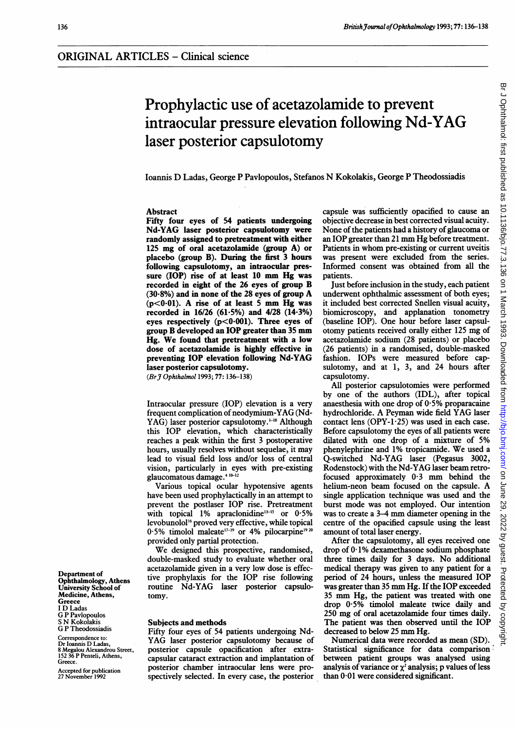# Prophylactic use of acetazolamide to prevent intraocular pressure elevation following Nd-YAG laser posterior capsulotomy

Ioannis D Ladas, George P Pavlopoulos, Stefanos N Kokolakis, George P Theodossiadis

## Abstract

Fifty four eyes of 54 patients undergoing Nd-YAG laser posterior capsulotomy were randomly assigned to pretreatment with either 125 mg of oral acetazolamide (group A) or placebo (group B). During the first 3 hours foliowing capsulotomy, an intraocular pressure (IOP) rise of at least <sup>10</sup> mm Hg was recorded in eight of the 26 eyes of group B  $(30.8\%)$  and in none of the 28 eyes of group A  $(p<0.01)$ . A rise of at least 5 mm Hg was recorded in 16/26 (61.5%) and 4/28 (14.3%) eyes respectively (p<0.001). Three eyes of group B developed an IOP greater than <sup>35</sup> mm Hg. We found that pretreatment with <sup>a</sup> low dose of acetazolamide is highly effective in preventing IOP elevation following Nd-YAG laser posterior capsulotomy.

(Br J Ophthalmol 1993; 77: 136-138)

Intraocular pressure (IOP) elevation is a very frequent complication of neodymium-YAG (Nd-YAG) laser posterior capsulotomy.<sup>1-10</sup> Although this IOP elevation, which characteristically reaches a peak within the first 3 postoperative hours, usually resolves without sequelae, it may lead to visual field loss and/or loss of central vision, particularly in eyes with pre-existing glaucomatous damage.4 10-12

Various topical ocular hypotensive agents have been used prophylactically in an attempt to prevent the postlaser IOP rise. Pretreatment with topical  $1\%$  apraclonidine<sup>13-15</sup> or  $0.5\%$ levobunolol'6 proved very effective, while topical 0.5% timolol maleate<sup>17-19</sup> or 4% pilocarpine<sup>19 20</sup> provided only partial protection.

We designed this prospective, randomised, double-masked study to evaluate whether oral acetazolamide given in a very low dose is effective prophylaxis for the IOP rise following routine Nd-YAG laser posterior capsulotomy.

### Subjects and methods

Fifty four eyes of 54 patients undergoing Nd-YAG laser posterior capsulotomy because of posterior capsule opacification after extracapsular cataract extraction and implantation of posterior chamber intraocular lens were prospectively selected. In every case, the posterior

capsule was sufficiently opacified to cause an objective decrease in best corrected visual acuity. None of the patients had a history of glaucoma or an IOP greater than <sup>21</sup> mm Hg before treatment. Patients in whom pre-existing or current uveitis was present were excluded from the series. Informed consent was obtained from all the patients.

Just before inclusion in the study, each patient underwent ophthalmic assessment of both eyes; it included best corrected Snellen visual acuity, biomicroscopy, and applanation tonometry (baseline IOP). One hour before laser capsulotomy patients received orally either <sup>125</sup> mg of acetazolamide sodium (28 patients) or placebo (26 patients) in a randomised, double-masked fashion. IOPs were measured before capsulotomy, and at 1, 3, and 24 hours after capsulotomy.

All posterior capsulotomies were performed by one of the authors (IDL), after topical anaesthesia with one drop of  $0.5\%$  proparacaine hydrochloride. A Peyman wide field YAG laser contact lens (OPY-1 $\cdot$ 25) was used in each case. Before capsulotomy the eyes of all patients were dilated with one drop of <sup>a</sup> mixture of 5% phenylephrine and 1% tropicamide. We used <sup>a</sup> Q-switched Nd-YAG laser (Pegasus 3002, Rodenstock) with the Nd-YAG laser beam retrofocused approximately  $0.3$  mm behind the helium-neon beam focused on the capsule. A single application technique was used and the burst mode was not employed. Our intention was to create <sup>a</sup> 3-4 mm diameter opening in the centre of the opacified capsule using the least amount of total laser energy.

After the capsulotomy, all eyes received one drop of  $0.1\%$  dexamethasone sodium phosphate three times daily for <sup>3</sup> days. No additional medical therapy was given to any patient for a period of 24 hours, unless the measured IOP was greater than <sup>35</sup> mm Hg. If the IOP exceeded <sup>35</sup> mm Hg, the patient was treated with one drop 0-5% timolol maleate twice daily and 250 mg of oral acetazolamide four times daily. The patient was then observed until the IOP decreased to below <sup>25</sup> mm Hg.

Numerical data were recorded as mean (SD). Statistical significance for data comparison between patient groups was analysed using analysis of variance or  $\chi^2$  analysis; p values of less than 0-01 were considered significant.

Department of Ophthalmology, Athens University School of Medicine, Athens, **Greece** <sup>I</sup> D Ladas G P Pavlopoulos <sup>S</sup> N Kokolakis G P Theodossiadis

Correspondence to: Dr loannis D Ladas, 8 Megalou Alexandrou Street, 152 36 P Penteli, Athens, Greece.

Accepted for publication 27 November 1992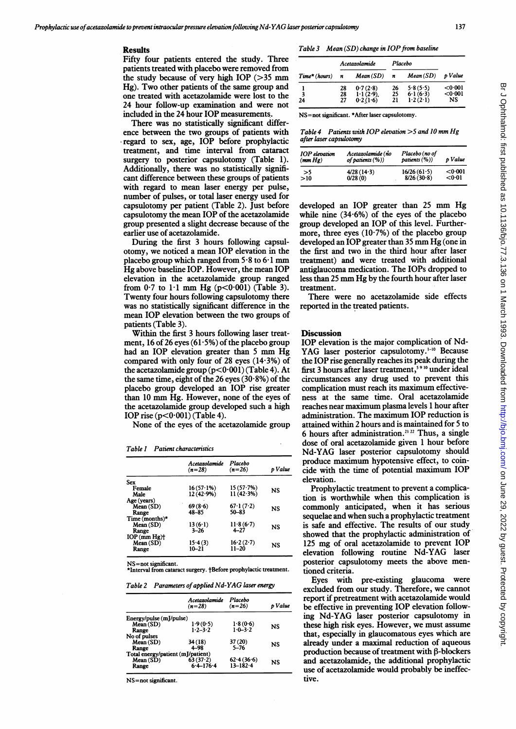#### Results

Fifty four patients entered the study. Three patients treated with placebo were removed from the study because of very high IOP  $(>35$  mm Hg). Two other patients of the same group and one treated with acetazolamide were lost to the 24 hour follow-up examination and were not included in the 24 hour IOP measurements.

There was no statistically significant difference between the two groups of patients with regard to sex, age, IOP before prophylactic treatment, and time interval from cataract surgery to posterior capsulotomy (Table 1). Additionally, there was no statistically significant difference between these groups of patients with regard to mean laser energy per pulse, number of pulses, or total laser energy used for capsulotomy per patient (Table 2). Just before capsulotomy the mean IOP of the acetazolamide group presented a slight decrease because of the earlier use of acetazolamide.

During the first 3 hours following capsulotomy, we noticed a mean IOP elevation in the placebo group which ranged from  $5.8$  to  $6.1$  mm Hg above baseline IOP. However, the mean IOP elevation in the acetazolamide group ranged from  $0.7$  to  $1.1$  mm Hg (p<0.001) (Table 3). Twenty four hours following capsulotomy there was no statistically significant difference in the mean IOP elevation between the two groups of patients (Table 3).

Within the first 3 hours following laser treatment, 16 of 26 eyes  $(61.5\%)$  of the placebo group had an IOP elevation greater than <sup>5</sup> mm Hg compared with only four of 28 eyes (14-3%) of the acetazolamide group  $(p<0.001)$  (Table 4). At the same time, eight of the 26 eyes  $(30.8\%)$  of the placebo group developed an IOP rise greater than <sup>10</sup> mm Hg. However, none of the eyes of the acetazolamide group developed such a high IOP rise  $(p<0.001)$  (Table 4).

None of the eyes of the acetazolamide group

Table I Patient characteristics

|                            | Acetazolamide<br>$(n=28)$ | Placebo<br>$(n=26)$ | p Value |
|----------------------------|---------------------------|---------------------|---------|
| Sex                        |                           |                     |         |
| Female                     | 16 (57-1%)                | 15(57.7%)           | NS      |
| Male                       | 12(42.9%)                 | 11(42.3%)           |         |
| Age (years)                |                           |                     |         |
| Mean (SD)                  | 69(8.6)                   | 67.1(7.2)           | NS      |
| Range                      | $48 - 85$                 | 50-83               |         |
| Time (months) $\star$      |                           |                     |         |
| Mean(SD)                   | 13(6.1)                   | 11.8(6.7)           | NS      |
| Range                      | $3 - 26$                  | $4 - 27$            |         |
| $IOP$ (mm $Hg$ ) $\dagger$ |                           |                     |         |
| Mean(SD)                   | 15.4(3)                   | 16.2(2.7)           | NS      |
| Range                      | 10–21                     | $11 - 20$           |         |
|                            |                           |                     |         |

NS=not significant. \*Interval from cataract surgery. †Before prophylactic treatment.

|  |  | Table 2 Parameters of applied Nd-YAG laser energy |  |
|--|--|---------------------------------------------------|--|
|--|--|---------------------------------------------------|--|

|                                   | Acetazolamide<br>$(n=28)$ | Placebo<br>$(n=26)$ | o Value |  |
|-----------------------------------|---------------------------|---------------------|---------|--|
| Energy/pulse (mJ/pulse)           |                           |                     |         |  |
| Mean(SD)                          | 1.9(0.5)                  | 1.8(0.6)            | NS      |  |
| Range                             | $1.2 - 3.2$               | $1.0 - 3.2$         |         |  |
| No of pulses                      |                           |                     |         |  |
| Mean(SD)                          | 34 (18)                   | 37(20)              | NS      |  |
| Range                             | $4 - 98$                  | $5 - 76$            |         |  |
| Total energy/patient (mJ/patient) |                           |                     |         |  |
| Mean(SD)                          | $63(37-2)$                | 62.4(36.6)          | NS      |  |
| Range                             | $6.4 - 176.4$             | $13 - 182 - 4$      |         |  |

NS=not significant.

Table 3 Mean  $(SD)$  change in IOP from baseline

| $Time*(hours)$ | Acetazolamide |              | Placebo |          |           |
|----------------|---------------|--------------|---------|----------|-----------|
|                | n             | $Mean(SD)$ n |         | Mean(SD) | p Value   |
|                | 28            | 0.7(2.8)     | 26      | 5.8(5.5) | < 0.001   |
| 3              | 28            | 1.1(2.9)     | 25      | 6.1(6.3) | $0.001$   |
| 24             | 27            | 0.2(1.6)     | 21      | 1.2(2.1) | <b>NS</b> |

NS=not significant. \*After laser capsulotomy.

Table 4 Patients with IOP elevation  $>5$  and 10 mm Hg after laser capsulotomy

| <b>IOP</b> elevation | Acetazolamide (no   | Placebo (no of | p Value |
|----------------------|---------------------|----------------|---------|
| (mm Hg)              | of patients $(\%))$ | patients (%))  |         |
| >5                   | $4/28(14-3)$        | 16/26(61.5)    | < 0.001 |
| >10                  | 0/28(0)             | 8/26(30.8)     | < 0.01  |

developed an IOP greater than <sup>25</sup> mm Hg while nine  $(34.6\%)$  of the eyes of the placebo group developed an IOP of this level. Furthermore, three eyes  $(10.7%)$  of the placebo group developed an IOP greater than <sup>35</sup> mm Hg (one in the first and two in the third hour after laser treatment) and were treated with additional antiglaucoma medication. The IOPs dropped to less than <sup>25</sup> mm Hg by the fourth hour after laser treatment.

There were no acetazolamide side effects reported in the treated patients.

#### **Discussion**

IOP elevation is the major complication of Nd-YAG laser posterior capsulotomy.<sup>1-10</sup> Because the IOP rise generally reaches its peak during the first 3 hours after laser treatment,<sup>59 10</sup> under ideal circumstances any drug used to prevent this complication must reach its maximum effectiveness at the same time. Oral acetazolamide reaches near maximum plasma levels <sup>1</sup> hour after administration. The maximum IOP reduction is attained within 2 hours and is maintained for 5 to 6 hours after administration.<sup>21,22</sup> Thus, a single dose of oral acetazolamide given <sup>1</sup> hour before Nd-YAG laser posterior capsulotomy should produce maximum hypotensive effect, to coincide with the time of potential maximum IOP elevation.

Prophylactic treatment to prevent a complication is worthwhile when this complication is commonly anticipated, when it has serious sequelae and when such a prophylactic treatment is safe and effective. The results of our study showed that the prophylactic administration of <sup>125</sup> mg of oral acetazolamide to prevent IOP elevation following routine Nd-YAG laser posterior capsulotomy meets the above mentioned criteria.

Eyes with pre-existing glaucoma were excluded from our study. Therefore, we cannot report if pretreatment with acetazolamide would be effective in preventing IOP elevation following Nd-YAG laser posterior capsulotomy in these high risk eyes. However, we must assume that, especially in glaucomatous eyes which are already under a maximal reduction of aqueous production because of treatment with  $\beta$ -blockers and acetazolamide, the additional prophylactic use of acetazolamide would probably be ineffective.